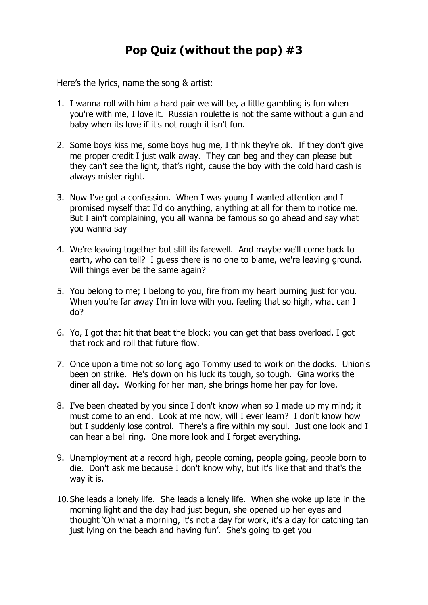Here's the lyrics, name the song & artist:

- 1. I wanna roll with him a hard pair we will be, a little gambling is fun when you're with me, I love it. Russian roulette is not the same without a gun and baby when its love if it's not rough it isn't fun.
- 2. Some boys kiss me, some boys hug me, I think they're ok. If they don't give me proper credit I just walk away. They can beg and they can please but they can't see the light, that's right, cause the boy with the cold hard cash is always mister right.
- 3. Now I've got a confession. When I was young I wanted attention and I promised myself that I'd do anything, anything at all for them to notice me. But I ain't complaining, you all wanna be famous so go ahead and say what you wanna say
- 4. We're leaving together but still its farewell. And maybe we'll come back to earth, who can tell? I guess there is no one to blame, we're leaving ground. Will things ever be the same again?
- 5. You belong to me; I belong to you, fire from my heart burning just for you. When you're far away I'm in love with you, feeling that so high, what can I do?
- 6. Yo, I got that hit that beat the block; you can get that bass overload. I got that rock and roll that future flow.
- 7. Once upon a time not so long ago Tommy used to work on the docks. Union's been on strike. He's down on his luck its tough, so tough. Gina works the diner all day. Working for her man, she brings home her pay for love.
- 8. I've been cheated by you since I don't know when so I made up my mind; it must come to an end. Look at me now, will I ever learn? I don't know how but I suddenly lose control. There's a fire within my soul. Just one look and I can hear a bell ring. One more look and I forget everything.
- 9. Unemployment at a record high, people coming, people going, people born to die. Don't ask me because I don't know why, but it's like that and that's the way it is.
- 10.She leads a lonely life. She leads a lonely life. When she woke up late in the morning light and the day had just begun, she opened up her eyes and thought 'Oh what a morning, it's not a day for work, it's a day for catching tan just lying on the beach and having fun'. She's going to get you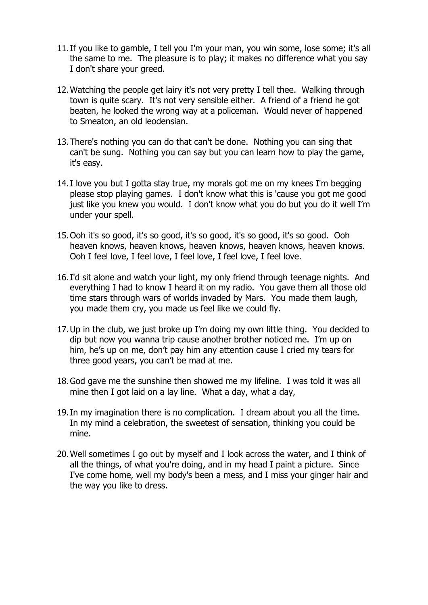- 11.If you like to gamble, I tell you I'm your man, you win some, lose some; it's all the same to me. The pleasure is to play; it makes no difference what you say I don't share your greed.
- 12.Watching the people get lairy it's not very pretty I tell thee. Walking through town is quite scary. It's not very sensible either. A friend of a friend he got beaten, he looked the wrong way at a policeman. Would never of happened to Smeaton, an old leodensian.
- 13.There's nothing you can do that can't be done. Nothing you can sing that can't be sung. Nothing you can say but you can learn how to play the game, it's easy.
- 14.I love you but I gotta stay true, my morals got me on my knees I'm begging please stop playing games. I don't know what this is 'cause you got me good just like you knew you would. I don't know what you do but you do it well I'm under your spell.
- 15.Ooh it's so good, it's so good, it's so good, it's so good, it's so good. Ooh heaven knows, heaven knows, heaven knows, heaven knows, heaven knows. Ooh I feel love, I feel love, I feel love, I feel love, I feel love.
- 16.I'd sit alone and watch your light, my only friend through teenage nights. And everything I had to know I heard it on my radio. You gave them all those old time stars through wars of worlds invaded by Mars. You made them laugh, you made them cry, you made us feel like we could fly.
- 17.Up in the club, we just broke up I'm doing my own little thing. You decided to dip but now you wanna trip cause another brother noticed me. I'm up on him, he's up on me, don't pay him any attention cause I cried my tears for three good years, you can't be mad at me.
- 18.God gave me the sunshine then showed me my lifeline. I was told it was all mine then I got laid on a lay line. What a day, what a day,
- 19.In my imagination there is no complication. I dream about you all the time. In my mind a celebration, the sweetest of sensation, thinking you could be mine.
- 20.Well sometimes I go out by myself and I look across the water, and I think of all the things, of what you're doing, and in my head I paint a picture. Since I've come home, well my body's been a mess, and I miss your ginger hair and the way you like to dress.